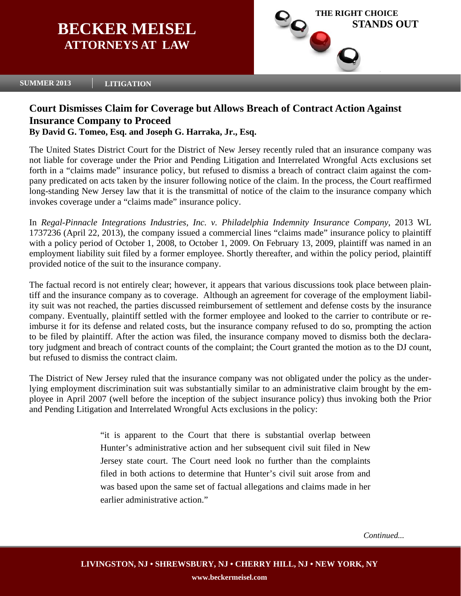# **BECKER MEISEL ATTORNEYS AT LAW**



#### **SUMMER 2013 LITIGATION**

## **Court Dismisses Claim for Coverage but Allows Breach of Contract Action Against Insurance Company to Proceed**

### **By David G. Tomeo, Esq. and Joseph G. Harraka, Jr., Esq.**

The United States District Court for the District of New Jersey recently ruled that an insurance company was not liable for coverage under the Prior and Pending Litigation and Interrelated Wrongful Acts exclusions set forth in a "claims made" insurance policy, but refused to dismiss a breach of contract claim against the company predicated on acts taken by the insurer following notice of the claim. In the process, the Court reaffirmed long-standing New Jersey law that it is the transmittal of notice of the claim to the insurance company which invokes coverage under a "claims made" insurance policy.

In *Regal-Pinnacle Integrations Industries, Inc. v. Philadelphia Indemnity Insurance Company*, 2013 WL 1737236 (April 22, 2013), the company issued a commercial lines "claims made" insurance policy to plaintiff with a policy period of October 1, 2008, to October 1, 2009. On February 13, 2009, plaintiff was named in an employment liability suit filed by a former employee. Shortly thereafter, and within the policy period, plaintiff provided notice of the suit to the insurance company.

The factual record is not entirely clear; however, it appears that various discussions took place between plaintiff and the insurance company as to coverage. Although an agreement for coverage of the employment liability suit was not reached, the parties discussed reimbursement of settlement and defense costs by the insurance company. Eventually, plaintiff settled with the former employee and looked to the carrier to contribute or reimburse it for its defense and related costs, but the insurance company refused to do so, prompting the action to be filed by plaintiff. After the action was filed, the insurance company moved to dismiss both the declaratory judgment and breach of contract counts of the complaint; the Court granted the motion as to the DJ count, but refused to dismiss the contract claim.

The District of New Jersey ruled that the insurance company was not obligated under the policy as the underlying employment discrimination suit was substantially similar to an administrative claim brought by the employee in April 2007 (well before the inception of the subject insurance policy) thus invoking both the Prior and Pending Litigation and Interrelated Wrongful Acts exclusions in the policy:

> "it is apparent to the Court that there is substantial overlap between Hunter's administrative action and her subsequent civil suit filed in New Jersey state court. The Court need look no further than the complaints filed in both actions to determine that Hunter's civil suit arose from and was based upon the same set of factual allegations and claims made in her earlier administrative action."

> > *Continued...*